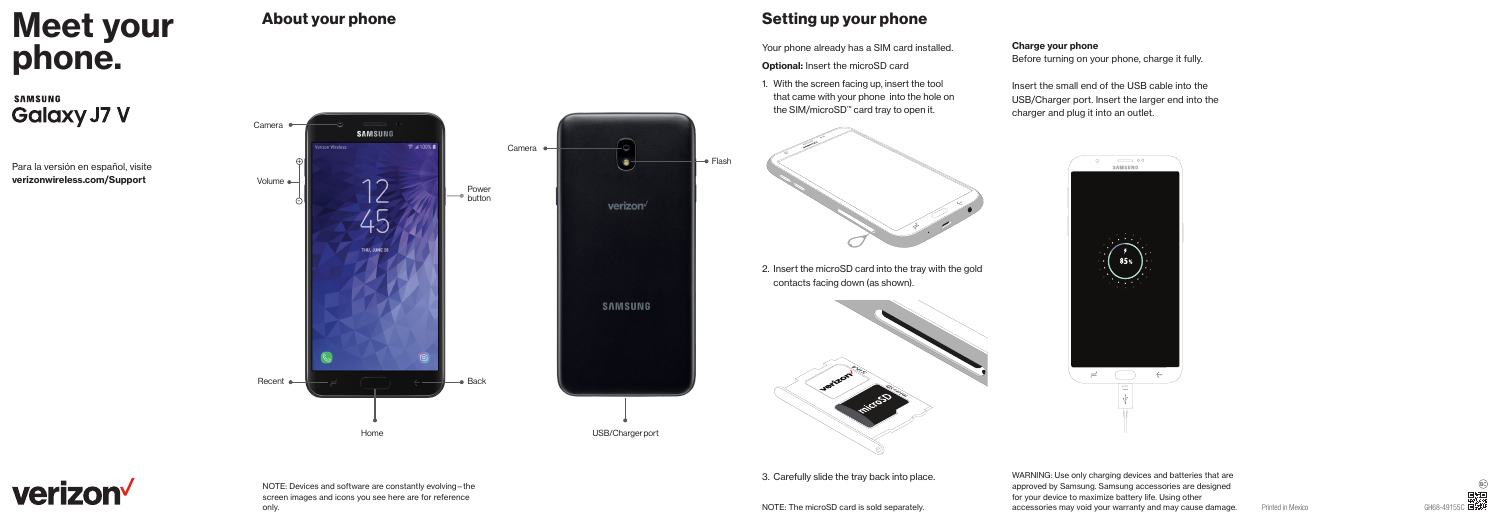# **Meet your<br>phone.** Your phone already has a SIM card installed. Charge your phone<br>Optional: Insert the microSD card Before turning on your phone

**SAMSUNG Galaxy J7 V** 

Para la versión en español, visite verizonwireless.com/Support



# About your phone  $\sim$  Setting up your phone

Your phone already has a SIM card installed.

Optional: Insert the microSD card

1. With the screen facing up, insert the tool that came with your phone into the hole on the SIM/microSD™ card tray to open it.

2. Insert the microSD card into the tray with the gold

contacts facing down (as shown).

Before turning on your phone, charge it fully.

Insert the small end of the USB cable into the USB/Charger port. Insert the larger end into the charger and plug it into an outlet.



verizon

NOTE: Devices and software are constantly evolving—the screen images and icons you see here are for reference

3. Carefully slide the tray back into place.

only. Nother microsoft contains a considerately and the microsoft contains and may consider and may cause damage. The microsoft is sold separately. The microsoft contains and may could your warranty and may cause damage. P WARNING: Use only charging devices and batteries that are approved by Samsung. Samsung accessories are designed for your device to maximize battery life. Using other